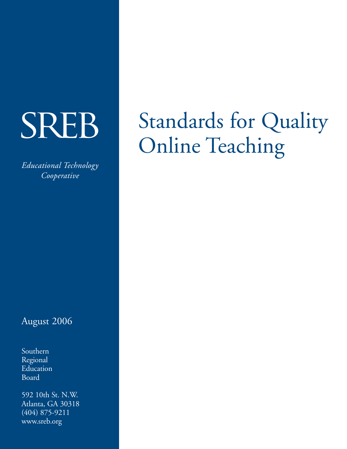# **SREB**

*Educational Technology Cooperative*

## August 2006

Southern Regional Education Board

592 10th St. N.W. Atlanta, GA 30318 (404) 875-9211 www.sreb.org

## Standards for Quality Online Teaching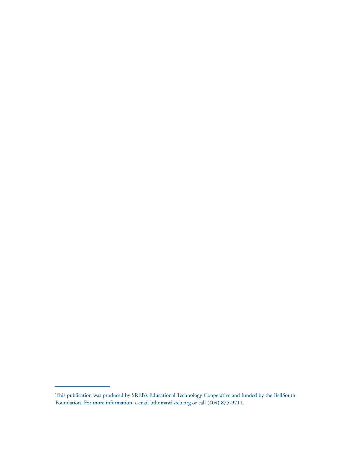This publication was produced by SREB's Educational Technology Cooperative and funded by the BellSouth Foundation. For more information, e-mail bthomas@sreb.org or call (404) 875-9211.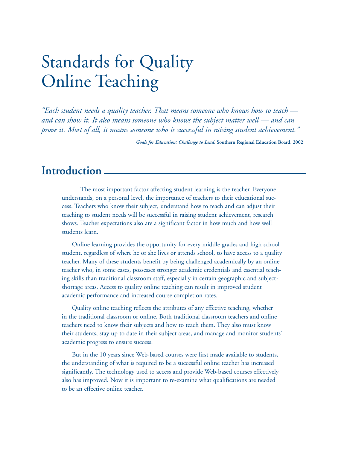## Standards for Quality Online Teaching

*"Each student needs a quality teacher. That means someone who knows how to teach and can show it. It also means someone who knows the subject matter well — and can prove it. Most of all, it means someone who is successful in raising student achievement."*

*Goals for Education: Challenge to Lead,* **Southern Regional Education Board, 2002**

## **Introduction**

The most important factor affecting student learning is the teacher. Everyone understands, on a personal level, the importance of teachers to their educational success. Teachers who know their subject, understand how to teach and can adjust their teaching to student needs will be successful in raising student achievement, research shows. Teacher expectations also are a significant factor in how much and how well students learn.

Online learning provides the opportunity for every middle grades and high school student, regardless of where he or she lives or attends school, to have access to a quality teacher. Many of these students benefit by being challenged academically by an online teacher who, in some cases, possesses stronger academic credentials and essential teaching skills than traditional classroom staff, especially in certain geographic and subjectshortage areas. Access to quality online teaching can result in improved student academic performance and increased course completion rates.

Quality online teaching reflects the attributes of any effective teaching, whether in the traditional classroom or online. Both traditional classroom teachers and online teachers need to know their subjects and how to teach them. They also must know their students, stay up to date in their subject areas, and manage and monitor students' academic progress to ensure success.

But in the 10 years since Web-based courses were first made available to students, the understanding of what is required to be a successful online teacher has increased significantly. The technology used to access and provide Web-based courses effectively also has improved. Now it is important to re-examine what qualifications are needed to be an effective online teacher.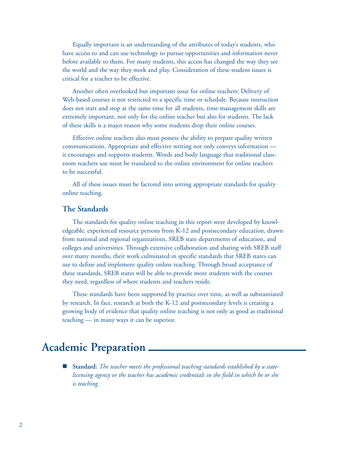Equally important is an understanding of the attributes of today's students, who have access to and can use technology to pursue opportunities and information never before available to them. For many students, this access has changed the way they see the world and the way they work and play. Consideration of these student issues is critical for a teacher to be effective.

Another often overlooked but important issue for online teachers: Delivery of Web-based courses is not restricted to a specific time or schedule. Because instruction does not start and stop at the same time for all students, time-management skills are extremely important, not only for the online teacher but also for students. The lack of these skills is a major reason why some students drop their online courses.

Effective online teachers also must possess the ability to prepare quality written communications. Appropriate and effective writing not only conveys information it encourages and supports students. Words and body language that traditional classroom teachers use must be translated to the online environment for online teachers to be successful.

All of these issues must be factored into setting appropriate standards for quality online teaching.

#### **The Standards**

The standards for quality online teaching in this report were developed by knowledgeable, experienced resource persons from K-12 and postsecondary education, drawn from national and regional organizations, SREB state departments of education, and colleges and universities. Through extensive collaboration and sharing with SREB staff over many months, their work culminated in specific standards that SREB states can use to define and implement quality online teaching. Through broad acceptance of these standards, SREB states will be able to provide more students with the courses they need, regardless of where students and teachers reside.

These standards have been supported by practice over time, as well as substantiated by research. In fact, research at both the K-12 and postsecondary levels is creating a growing body of evidence that quality online teaching is not only as good as traditional teaching — in many ways it can be superior.

## **Academic Preparation**

 **Standard:** *The teacher meets the professional teaching standards established by a statelicensing agency or the teacher has academic credentials in the field in which he or she is teaching.*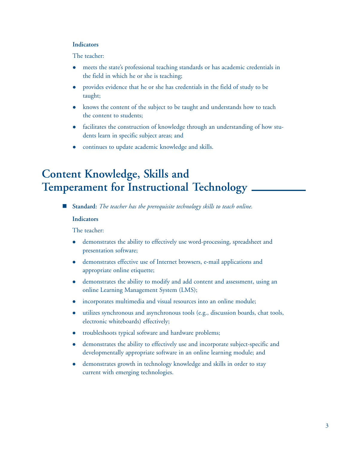#### **Indicators**

The teacher:

- meets the state's professional teaching standards or has academic credentials in the field in which he or she is teaching;
- provides evidence that he or she has credentials in the field of study to be taught;
- knows the content of the subject to be taught and understands how to teach the content to students;
- facilitates the construction of knowledge through an understanding of how students learn in specific subject areas; and
- continues to update academic knowledge and skills.

## **Content Knowledge, Skills and Temperament for Instructional Technology**

**Standard:** *The teacher has the prerequisite technology skills to teach online.*

#### **Indicators**

- demonstrates the ability to effectively use word-processing, spreadsheet and presentation software;
- demonstrates effective use of Internet browsers, e-mail applications and appropriate online etiquette;
- demonstrates the ability to modify and add content and assessment, using an online Learning Management System (LMS);
- incorporates multimedia and visual resources into an online module;
- $\bullet$  utilizes synchronous and asynchronous tools (e.g., discussion boards, chat tools, electronic whiteboards) effectively;
- troubleshoots typical software and hardware problems;
- demonstrates the ability to effectively use and incorporate subject-specific and developmentally appropriate software in an online learning module; and
- demonstrates growth in technology knowledge and skills in order to stay current with emerging technologies.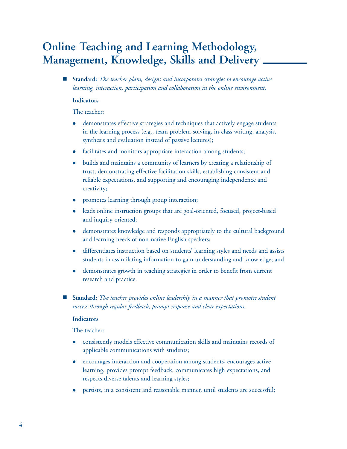## **Online Teaching and Learning Methodology, Management, Knowledge, Skills and Delivery**

 **Standard:** *The teacher plans, designs and incorporates strategies to encourage active learning, interaction, participation and collaboration in the online environment.*

#### **Indicators**

The teacher:

- demonstrates effective strategies and techniques that actively engage students in the learning process (e.g., team problem-solving, in-class writing, analysis, synthesis and evaluation instead of passive lectures);
- facilitates and monitors appropriate interaction among students;
- builds and maintains a community of learners by creating a relationship of trust, demonstrating effective facilitation skills, establishing consistent and reliable expectations, and supporting and encouraging independence and creativity;
- promotes learning through group interaction;
- leads online instruction groups that are goal-oriented, focused, project-based and inquiry-oriented;
- demonstrates knowledge and responds appropriately to the cultural background and learning needs of non-native English speakers;
- differentiates instruction based on students' learning styles and needs and assists students in assimilating information to gain understanding and knowledge; and
- demonstrates growth in teaching strategies in order to benefit from current research and practice.
- **Standard:** *The teacher provides online leadership in a manner that promotes student success through regular feedback, prompt response and clear expectations.*

#### **Indicators**

- <sup>z</sup> consistently models effective communication skills and maintains records of applicable communications with students;
- encourages interaction and cooperation among students, encourages active learning, provides prompt feedback, communicates high expectations, and respects diverse talents and learning styles;
- persists, in a consistent and reasonable manner, until students are successful;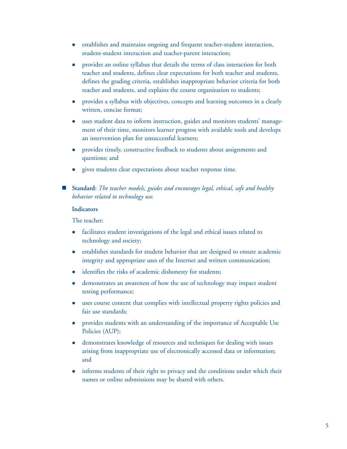- establishes and maintains ongoing and frequent teacher-student interaction, student-student interaction and teacher-parent interaction;
- provides an online syllabus that details the terms of class interaction for both teacher and students, defines clear expectations for both teacher and students, defines the grading criteria, establishes inappropriate behavior criteria for both teacher and students, and explains the course organization to students;
- provides a syllabus with objectives, concepts and learning outcomes in a clearly written, concise format;
- uses student data to inform instruction, guides and monitors students' management of their time, monitors learner progress with available tools and develops an intervention plan for unsuccessful learners;
- provides timely, constructive feedback to students about assignments and questions; and
- gives students clear expectations about teacher response time.
- **Standard:** *The teacher models, guides and encourages legal, ethical, safe and healthy behavior related to technology use.*

#### **Indicators**

- facilitates student investigations of the legal and ethical issues related to technology and society;
- establishes standards for student behavior that are designed to ensure academic integrity and appropriate uses of the Internet and written communication;
- identifies the risks of academic dishonesty for students;
- demonstrates an awareness of how the use of technology may impact student testing performance;
- uses course content that complies with intellectual property rights policies and fair use standards;
- provides students with an understanding of the importance of Acceptable Use Policies (AUP);
- demonstrates knowledge of resources and techniques for dealing with issues arising from inappropriate use of electronically accessed data or information; and
- informs students of their right to privacy and the conditions under which their names or online submissions may be shared with others.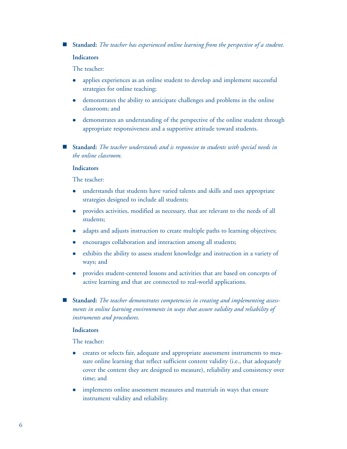**Standard:** *The teacher has experienced online learning from the perspective of a student.*

#### **Indicators**

The teacher:

- applies experiences as an online student to develop and implement successful strategies for online teaching;
- demonstrates the ability to anticipate challenges and problems in the online classroom; and
- demonstrates an understanding of the perspective of the online student through appropriate responsiveness and a supportive attitude toward students.
- **Standard:** *The teacher understands and is responsive to students with special needs in the online classroom.*

#### **Indicators**

The teacher:

- understands that students have varied talents and skills and uses appropriate strategies designed to include all students;
- provides activities, modified as necessary, that are relevant to the needs of all students;
- adapts and adjusts instruction to create multiple paths to learning objectives;
- encourages collaboration and interaction among all students;
- exhibits the ability to assess student knowledge and instruction in a variety of ways; and
- provides student-centered lessons and activities that are based on concepts of active learning and that are connected to real-world applications.
- **Standard:** *The teacher demonstrates competencies in creating and implementing assessments in online learning environments in ways that assure validity and reliability of instruments and procedures.*

#### **Indicators**

- creates or selects fair, adequate and appropriate assessment instruments to measure online learning that reflect sufficient content validity (i.e., that adequately cover the content they are designed to measure), reliability and consistency over time; and
- implements online assessment measures and materials in ways that ensure instrument validity and reliability.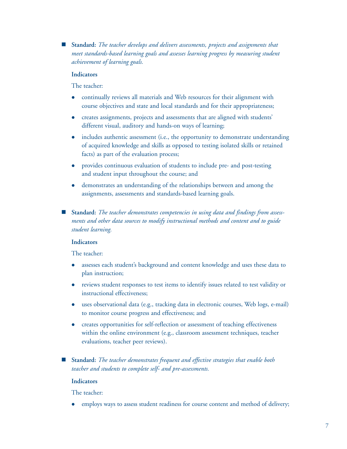**Standard:** *The teacher develops and delivers assessments, projects and assignments that meet standards-based learning goals and assesses learning progress by measuring student achievement of learning goals.* 

#### **Indicators**

The teacher:

- continually reviews all materials and Web resources for their alignment with course objectives and state and local standards and for their appropriateness;
- creates assignments, projects and assessments that are aligned with students' different visual, auditory and hands-on ways of learning;
- includes authentic assessment (i.e., the opportunity to demonstrate understanding of acquired knowledge and skills as opposed to testing isolated skills or retained facts) as part of the evaluation process;
- provides continuous evaluation of students to include pre- and post-testing and student input throughout the course; and
- demonstrates an understanding of the relationships between and among the assignments, assessments and standards-based learning goals.
- **Standard:** *The teacher demonstrates competencies in using data and findings from assessments and other data sources to modify instructional methods and content and to guide student learning.*

#### **Indicators**

The teacher:

- assesses each student's background and content knowledge and uses these data to plan instruction;
- reviews student responses to test items to identify issues related to test validity or instructional effectiveness;
- uses observational data (e.g., tracking data in electronic courses, Web logs, e-mail) to monitor course progress and effectiveness; and
- creates opportunities for self-reflection or assessment of teaching effectiveness within the online environment (e.g., classroom assessment techniques, teacher evaluations, teacher peer reviews).
- **Standard:** *The teacher demonstrates frequent and effective strategies that enable both teacher and students to complete self- and pre-assessments.*

#### **Indicators**

The teacher:

• employs ways to assess student readiness for course content and method of delivery;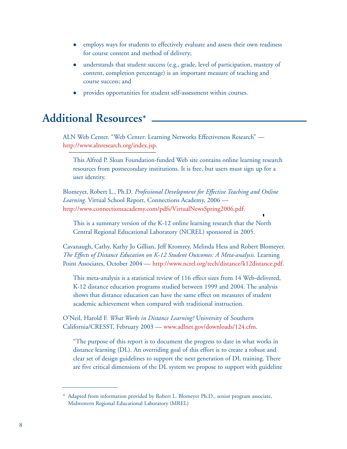- employs ways for students to effectively evaluate and assess their own readiness for course content and method of delivery;
- understands that student success (e.g., grade, level of participation, mastery of content, completion percentage) is an important measure of teaching and course success; and
- provides opportunities for student self-assessment within courses.

## **Additional Resources\***

ALN Web Center. "Web Center: Learning Networks Effectiveness Research" [http://www.alnresearch.org/index.jsp.](http://www.alnresearch.org/index.jsp)

This Alfred P. Sloan Foundation-funded Web site contains online learning research resources from postsecondary institutions. It is free, but users must sign up for a user identity.

Blomeyer, Robert L., Ph.D. *Professional Development for Effective Teaching and Online Learning.* Virtual School Report, Connections Academy, 2006 <http://www.connectionsacademy.com/pdfs/VirtualNewsSpring2006.pdf>.

This is a summary version of the K-12 online learning research that the North Central Regional Educational Laboratory (NCREL) sponsored in 2005.

Cavanaugh, Cathy, Kathy Jo Gillian, Jeff Kromrey, Melinda Hess and Robert Blomeyer. *The Effects of Distance Education on K-12 Student Outcomes: A Meta-analysis.* Learning Point Associates, October 2004 — <http://www.ncrel.org/tech/distance/k12distance.pdf>.

This meta-analysis is a statistical review of 116 effect sizes from 14 Web-delivered, K-12 distance education programs studied between 1999 and 2004. The analysis shows that distance education can have the same effect on measures of student academic achievement when compared with traditional instruction.

O'Neil, Harold F. *What Works in Distance Learning?* University of Southern California/CRESST, February 2003 — [www.adlnet.gov/downloads/12](www.adlnet.gov/downloads/124.cfm)4.cfm.

"The purpose of this report is to document the progress to date in what works in distance learning (DL). An overriding goal of this effort is to create a robust and clear set of design guidelines to support the next generation of DL training. There are five critical dimensions of the DL system we propose to support with guideline

<sup>\*</sup> Adapted from information provided by Robert L. Blomeyer Ph.D., senior program associate, Midwestern Regional Educational Laboratory (MREL)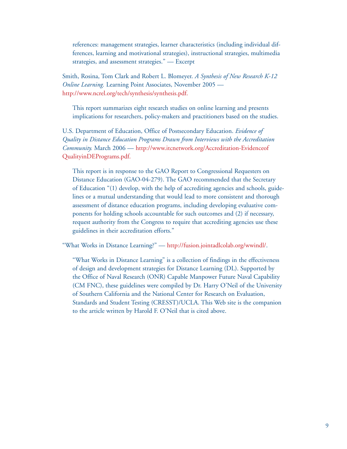references: management strategies, learner characteristics (including individual differences, learning and motivational strategies), instructional strategies, multimedia strategies, and assessment strategies." — Excerpt

Smith, Rosina, Tom Clark and Robert L. Blomeyer. *A Synthesis of New Research K-12 Online Learning.* Learning Point Associates, November 2005 [http://www.ncrel.org/tech/synthesis/synthesis.pdf.](http://www.ncrel.org/tech/synthesis/synthesis.pdf)

This report summarizes eight research studies on online learning and presents implications for researchers, policy-makers and practitioners based on the studies.

U.S. Department of Education, Office of Postsecondary Education. *Evidence of Quality in Distance Education Programs Drawn from Interviews with the Accreditation Community.* March 2006 — [http://www.itcnetwork.org/Accreditation](http://www.itcnetwork.org/Accreditation-EvidenceofQualityinDEPrograms.pdf)-Evidenceof [QualityinDEPrograms.pdf.](http://www.itcnetwork.org/Accreditation-EvidenceofQualityinDEPrograms.pdf)

This report is in response to the GAO Report to Congressional Requesters on Distance Education (GAO-04-279). The GAO recommended that the Secretary of Education "(1) develop, with the help of accrediting agencies and schools, guidelines or a mutual understanding that would lead to more consistent and thorough assessment of distance education programs, including developing evaluative components for holding schools accountable for such outcomes and (2) if necessary, request authority from the Congress to require that accrediting agencies use these guidelines in their accreditation efforts."

"What Works in Distance Learning?" — [http://fusion.jointadlcolab.org/wwindl/.](http://fusion.jointadlcolab.org/wwindl/)

"What Works in Distance Learning" is a collection of findings in the effectiveness of design and development strategies for Distance Learning (DL). Supported by the Office of Naval Research (ONR) Capable Manpower Future Naval Capability (CM FNC), these guidelines were compiled by Dr. Harry O'Neil of the University of Southern California and the National Center for Research on Evaluation, Standards and Student Testing (CRESST)/UCLA. This Web site is the companion to the article written by Harold F. O'Neil that is cited above.